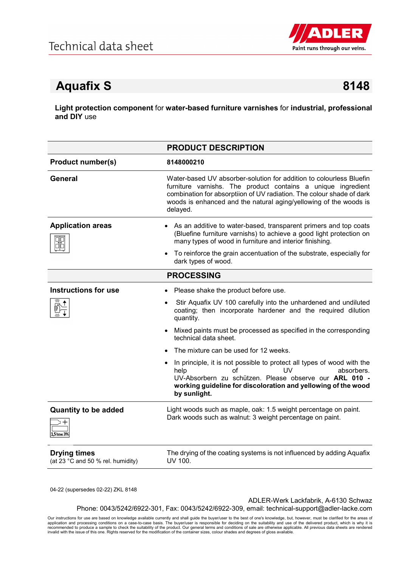

## Aquafix S 8148

Light protection component for water-based furniture varnishes for industrial, professional and **DIY** use

|                                                          | <b>PRODUCT DESCRIPTION</b>                                                                                                                                                                                                                                                                    |
|----------------------------------------------------------|-----------------------------------------------------------------------------------------------------------------------------------------------------------------------------------------------------------------------------------------------------------------------------------------------|
| <b>Product number(s)</b>                                 | 8148000210                                                                                                                                                                                                                                                                                    |
| <b>General</b>                                           | Water-based UV absorber-solution for addition to colourless Bluefin<br>furniture varnishs. The product contains a unique ingredient<br>combination for absorptiion of UV radiation. The colour shade of dark<br>woods is enhanced and the natural aging/yellowing of the woods is<br>delayed. |
| <b>Application areas</b>                                 | • As an additive to water-based, transparent primers and top coats<br>(Bluefine furniture varnishs) to achieve a good light protection on<br>many types of wood in furniture and interior finishing.                                                                                          |
|                                                          | To reinforce the grain accentuation of the substrate, especially for<br>dark types of wood.                                                                                                                                                                                                   |
|                                                          | <b>PROCESSING</b>                                                                                                                                                                                                                                                                             |
| <b>Instructions for use</b>                              | • Please shake the product before use.                                                                                                                                                                                                                                                        |
|                                                          | Stir Aquafix UV 100 carefully into the unhardened and undiluted<br>$\bullet$<br>coating; then incorporate hardener and the required dilution<br>quantity.                                                                                                                                     |
|                                                          | • Mixed paints must be processed as specified in the corresponding<br>technical data sheet.                                                                                                                                                                                                   |
|                                                          | The mixture can be used for 12 weeks.                                                                                                                                                                                                                                                         |
|                                                          | • In principle, it is not possible to protect all types of wood with the<br>Ωf<br>UV<br>absorbers.<br>help<br>UV-Absorbern zu schützen. Please observe our ARL 010 -<br>working guideline for discoloration and yellowing of the wood<br>by sunlight.                                         |
| <b>Quantity to be added</b><br>1.5 bzw. 3%               | Light woods such as maple, oak: 1.5 weight percentage on paint.<br>Dark woods such as walnut: 3 weight percentage on paint.                                                                                                                                                                   |
| <b>Drying times</b><br>(at 23 °C and 50 % rel. humidity) | The drying of the coating systems is not influenced by adding Aquafix<br>UV 100.                                                                                                                                                                                                              |

04-22 (supersedes 02-22) ZKL 8148

ADLER-Werk Lackfabrik, A-6130 Schwaz

Phone: 0043/5242/6922-301, Fax: 0043/5242/6922-309, email: technical-support@adler-lacke.com

Our instructions for use are based on knowledge available currently and shall guide the buyer/user to the best of one's knowledge, but, however, must be clarified for the areas of application and processing conditions on a case-to-case basis. The buyer/user is responsible for deciding on the suitability and use of the delivered product, which is why it is<br>recommended to produce a sample to check the